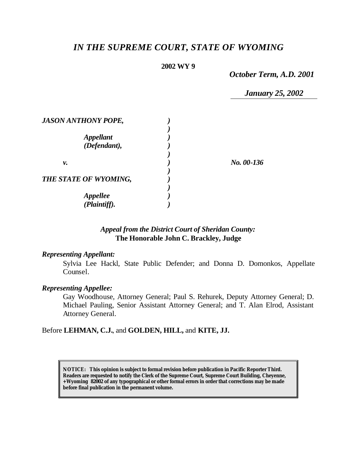# *IN THE SUPREME COURT, STATE OF WYOMING*

## **2002 WY 9**

*October Term, A.D. 2001*

*January 25, 2002*

| <b>JASON ANTHONY POPE,</b> |            |
|----------------------------|------------|
| <b>Appellant</b>           |            |
| (Defendant),               |            |
|                            |            |
| v.                         | No. 00-136 |
| THE STATE OF WYOMING,      |            |
|                            |            |
| <b>Appellee</b>            |            |
| (Plaintiff).               |            |

## *Appeal from the District Court of Sheridan County:* **The Honorable John C. Brackley, Judge**

## *Representing Appellant:*

Sylvia Lee Hackl, State Public Defender; and Donna D. Domonkos, Appellate Counsel.

#### *Representing Appellee:*

Gay Woodhouse, Attorney General; Paul S. Rehurek, Deputy Attorney General; D. Michael Pauling, Senior Assistant Attorney General; and T. Alan Elrod, Assistant Attorney General.

## Before **LEHMAN, C.J.**, and **GOLDEN, HILL,** and **KITE, JJ.**

**NOTICE:** *This opinion is subject to formal revision before publication in Pacific Reporter Third. Readers are requested to notify the Clerk of the Supreme Court, Supreme Court Building, Cheyenne, +Wyoming 82002 of any typographical or other formal errors in order that corrections may be made before final publication in the permanent volume.*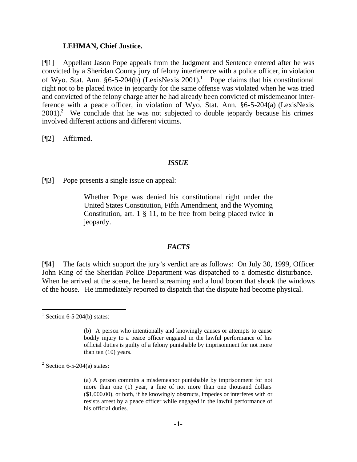#### **LEHMAN, Chief Justice.**

[¶1] Appellant Jason Pope appeals from the Judgment and Sentence entered after he was convicted by a Sheridan County jury of felony interference with a police officer, in violation of Wyo. Stat. Ann.  $§6-5-204(b)$  (LexisNexis 2001).<sup>1</sup> Pope claims that his constitutional right not to be placed twice in jeopardy for the same offense was violated when he was tried and convicted of the felony charge after he had already been convicted of misdemeanor interference with a peace officer, in violation of Wyo. Stat. Ann. §6-5-204(a) (LexisNexis  $2001$ ).<sup>2</sup> We conclude that he was not subjected to double jeopardy because his crimes involved different actions and different victims.

[¶2] Affirmed.

#### *ISSUE*

[¶3] Pope presents a single issue on appeal:

Whether Pope was denied his constitutional right under the United States Constitution, Fifth Amendment, and the Wyoming Constitution, art. 1 § 11, to be free from being placed twice in jeopardy.

#### *FACTS*

[¶4] The facts which support the jury's verdict are as follows: On July 30, 1999, Officer John King of the Sheridan Police Department was dispatched to a domestic disturbance. When he arrived at the scene, he heard screaming and a loud boom that shook the windows of the house. He immediately reported to dispatch that the dispute had become physical.

l

 $1$  Section 6-5-204(b) states:

<sup>(</sup>b) A person who intentionally and knowingly causes or attempts to cause bodily injury to a peace officer engaged in the lawful performance of his official duties is guilty of a felony punishable by imprisonment for not more than ten (10) years.

 $2$  Section 6-5-204(a) states:

<sup>(</sup>a) A person commits a misdemeanor punishable by imprisonment for not more than one (1) year, a fine of not more than one thousand dollars (\$1,000.00), or both, if he knowingly obstructs, impedes or interferes with or resists arrest by a peace officer while engaged in the lawful performance of his official duties.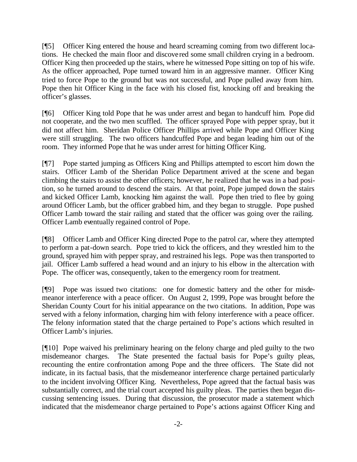[¶5] Officer King entered the house and heard screaming coming from two different locations. He checked the main floor and discovered some small children crying in a bedroom. Officer King then proceeded up the stairs, where he witnessed Pope sitting on top of his wife. As the officer approached, Pope turned toward him in an aggressive manner. Officer King tried to force Pope to the ground but was not successful, and Pope pulled away from him. Pope then hit Officer King in the face with his closed fist, knocking off and breaking the officer's glasses.

[¶6] Officer King told Pope that he was under arrest and began to handcuff him. Pope did not cooperate, and the two men scuffled. The officer sprayed Pope with pepper spray, but it did not affect him. Sheridan Police Officer Phillips arrived while Pope and Officer King were still struggling. The two officers handcuffed Pope and began leading him out of the room. They informed Pope that he was under arrest for hitting Officer King.

[¶7] Pope started jumping as Officers King and Phillips attempted to escort him down the stairs. Officer Lamb of the Sheridan Police Department arrived at the scene and began climbing the stairs to assist the other officers; however, he realized that he was in a bad position, so he turned around to descend the stairs. At that point, Pope jumped down the stairs and kicked Officer Lamb, knocking him against the wall. Pope then tried to flee by going around Officer Lamb, but the officer grabbed him, and they began to struggle. Pope pushed Officer Lamb toward the stair railing and stated that the officer was going over the railing. Officer Lamb eventually regained control of Pope.

[¶8] Officer Lamb and Officer King directed Pope to the patrol car, where they attempted to perform a pat-down search. Pope tried to kick the officers, and they wrestled him to the ground, sprayed him with pepper spray, and restrained his legs. Pope was then transported to jail. Officer Lamb suffered a head wound and an injury to his elbow in the altercation with Pope. The officer was, consequently, taken to the emergency room for treatment.

[¶9] Pope was issued two citations: one for domestic battery and the other for misdemeanor interference with a peace officer. On August 2, 1999, Pope was brought before the Sheridan County Court for his initial appearance on the two citations. In addition, Pope was served with a felony information, charging him with felony interference with a peace officer. The felony information stated that the charge pertained to Pope's actions which resulted in Officer Lamb's injuries.

[¶10] Pope waived his preliminary hearing on the felony charge and pled guilty to the two misdemeanor charges. The State presented the factual basis for Pope's guilty pleas, recounting the entire confrontation among Pope and the three officers. The State did not indicate, in its factual basis, that the misdemeanor interference charge pertained particularly to the incident involving Officer King. Nevertheless, Pope agreed that the factual basis was substantially correct, and the trial court accepted his guilty pleas. The parties then began discussing sentencing issues. During that discussion, the prosecutor made a statement which indicated that the misdemeanor charge pertained to Pope's actions against Officer King and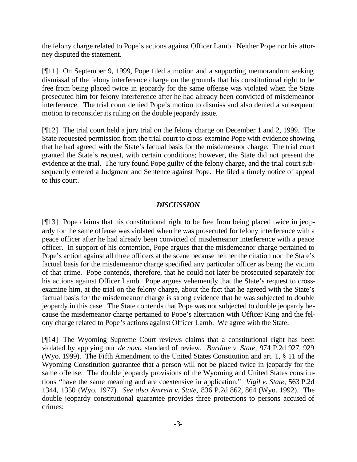the felony charge related to Pope's actions against Officer Lamb. Neither Pope nor his attorney disputed the statement.

[¶11] On September 9, 1999, Pope filed a motion and a supporting memorandum seeking dismissal of the felony interference charge on the grounds that his constitutional right to be free from being placed twice in jeopardy for the same offense was violated when the State prosecuted him for felony interference after he had already been convicted of misdemeanor interference. The trial court denied Pope's motion to dismiss and also denied a subsequent motion to reconsider its ruling on the double jeopardy issue.

[¶12] The trial court held a jury trial on the felony charge on December 1 and 2, 1999. The State requested permission from the trial court to cross-examine Pope with evidence showing that he had agreed with the State's factual basis for the misdemeanor charge. The trial court granted the State's request, with certain conditions; however, the State did not present the evidence at the trial. The jury found Pope guilty of the felony charge, and the trial court subsequently entered a Judgment and Sentence against Pope. He filed a timely notice of appeal to this court.

# *DISCUSSION*

[¶13] Pope claims that his constitutional right to be free from being placed twice in jeopardy for the same offense was violated when he was prosecuted for felony interference with a peace officer after he had already been convicted of misdemeanor interference with a peace officer. In support of his contention, Pope argues that the misdemeanor charge pertained to Pope's action against all three officers at the scene because neither the citation nor the State's factual basis for the misdemeanor charge specified any particular officer as being the victim of that crime. Pope contends, therefore, that he could not later be prosecuted separately for his actions against Officer Lamb. Pope argues vehemently that the State's request to crossexamine him, at the trial on the felony charge, about the fact that he agreed with the State's factual basis for the misdemeanor charge is strong evidence that he was subjected to double jeopardy in this case. The State contends that Pope was not subjected to double jeopardy because the misdemeanor charge pertained to Pope's altercation with Officer King and the felony charge related to Pope's actions against Officer Lamb. We agree with the State.

[¶14] The Wyoming Supreme Court reviews claims that a constitutional right has been violated by applying our *de novo* standard of review. *Burdine v. State,* 974 P.2d 927, 929 (Wyo. 1999). The Fifth Amendment to the United States Constitution and art. 1, § 11 of the Wyoming Constitution guarantee that a person will not be placed twice in jeopardy for the same offense. The double jeopardy provisions of the Wyoming and United States constitutions "have the same meaning and are coextensive in application." *Vigil v. State,* 563 P.2d 1344, 1350 (Wyo. 1977). *See also Amrein v. State,* 836 P.2d 862, 864 (Wyo. 1992). The double jeopardy constitutional guarantee provides three protections to persons accused of crimes: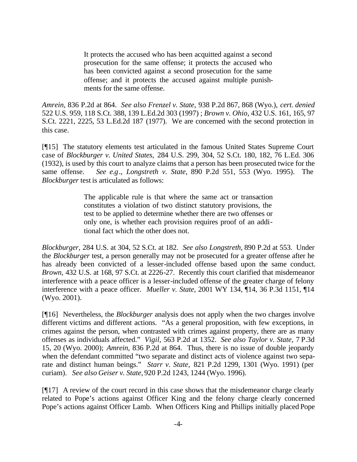It protects the accused who has been acquitted against a second prosecution for the same offense; it protects the accused who has been convicted against a second prosecution for the same offense; and it protects the accused against multiple punishments for the same offense.

*Amrein,* 836 P.2d at 864. *See also Frenzel v. State,* 938 P.2d 867, 868 (Wyo.), *cert. denied*  522 U.S. 959, 118 S.Ct. 388, 139 L.Ed.2d 303 (1997) ; *Brown v. Ohio,* 432 U.S. 161, 165, 97 S.Ct. 2221, 2225, 53 L.Ed.2d 187 (1977). We are concerned with the second protection in this case.

[¶15] The statutory elements test articulated in the famous United States Supreme Court case of *Blockburger v. United States,* 284 U.S. 299, 304, 52 S.Ct. 180, 182, 76 L.Ed. 306 (1932), is used by this court to analyze claims that a person has been prosecuted twice for the same offense. *See e.g*., *Longstreth v. State,* 890 P.2d 551, 553 (Wyo. 1995). The *Blockburger* test is articulated as follows:

> The applicable rule is that where the same act or transaction constitutes a violation of two distinct statutory provisions, the test to be applied to determine whether there are two offenses or only one, is whether each provision requires proof of an additional fact which the other does not.

*Blockburger,* 284 U.S. at 304, 52 S.Ct. at 182. *See also Longstreth,* 890 P.2d at 553. Under the *Blockburger* test, a person generally may not be prosecuted for a greater offense after he has already been convicted of a lesser-included offense based upon the same conduct. *Brown,* 432 U.S. at 168, 97 S.Ct. at 2226-27. Recently this court clarified that misdemeanor interference with a peace officer is a lesser-included offense of the greater charge of felony interference with a peace officer. *Mueller v. State*, 2001 WY 134, ¶14, 36 P.3d 1151, ¶14 (Wyo. 2001).

[¶16] Nevertheless, the *Blockburger* analysis does not apply when the two charges involve different victims and different actions. "As a general proposition, with few exceptions, in crimes against the person, when contrasted with crimes against property, there are as many offenses as individuals affected." *Vigil,* 563 P.2d at 1352. *See also Taylor v. State,* 7 P.3d 15, 20 (Wyo. 2000); *Amrein,* 836 P.2d at 864. Thus, there is no issue of double jeopardy when the defendant committed "two separate and distinct acts of violence against two separate and distinct human beings." *Starr v. State,* 821 P.2d 1299, 1301 (Wyo. 1991) (per curiam). *See also Geiser v. State,* 920 P.2d 1243, 1244 (Wyo. 1996).

[¶17] A review of the court record in this case shows that the misdemeanor charge clearly related to Pope's actions against Officer King and the felony charge clearly concerned Pope's actions against Officer Lamb. When Officers King and Phillips initially placed Pope